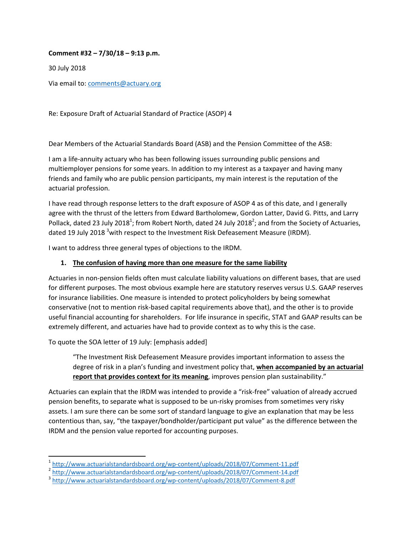**Comment #32 – 7/30/18 – 9:13 p.m.**

30 July 2018

Via email to: comments@actuary.org

Re: Exposure Draft of Actuarial Standard of Practice (ASOP) 4

Dear Members of the Actuarial Standards Board (ASB) and the Pension Committee of the ASB:

I am a life‐annuity actuary who has been following issues surrounding public pensions and multiemployer pensions for some years. In addition to my interest as a taxpayer and having many friends and family who are public pension participants, my main interest is the reputation of the actuarial profession.

I have read through response letters to the draft exposure of ASOP 4 as of this date, and I generally agree with the thrust of the letters from Edward Bartholomew, Gordon Latter, David G. Pitts, and Larry Pollack, dated 23 July 2018<sup>1</sup>; from Robert North, dated 24 July 2018<sup>2</sup>; and from the Society of Actuaries, dated 19 July 2018 <sup>3</sup>with respect to the Investment Risk Defeasement Measure (IRDM).

I want to address three general types of objections to the IRDM.

## **1. The confusion of having more than one measure for the same liability**

Actuaries in non‐pension fields often must calculate liability valuations on different bases, that are used for different purposes. The most obvious example here are statutory reserves versus U.S. GAAP reserves for insurance liabilities. One measure is intended to protect policyholders by being somewhat conservative (not to mention risk‐based capital requirements above that), and the other is to provide useful financial accounting for shareholders. For life insurance in specific, STAT and GAAP results can be extremely different, and actuaries have had to provide context as to why this is the case.

To quote the SOA letter of 19 July: [emphasis added]

"The Investment Risk Defeasement Measure provides important information to assess the degree of risk in a plan's funding and investment policy that, **when accompanied by an actuarial report that provides context for its meaning**, improves pension plan sustainability."

Actuaries can explain that the IRDM was intended to provide a "risk‐free" valuation of already accrued pension benefits, to separate what is supposed to be un-risky promises from sometimes very risky assets. I am sure there can be some sort of standard language to give an explanation that may be less contentious than, say, "the taxpayer/bondholder/participant put value" as the difference between the IRDM and the pension value reported for accounting purposes.

<sup>&</sup>lt;sup>1</sup>http://www.actuarialstandardsboard.org/wp-content/uploads/2018/07/Comment-11.pdf<br><sup>2</sup>http://www.actuarialstandardsboard.org/wp-content/uploads/2018/07/Comment-14.pdf<br><sup>3</sup>http://www.actuarialstandardsboard.org/wp-content/u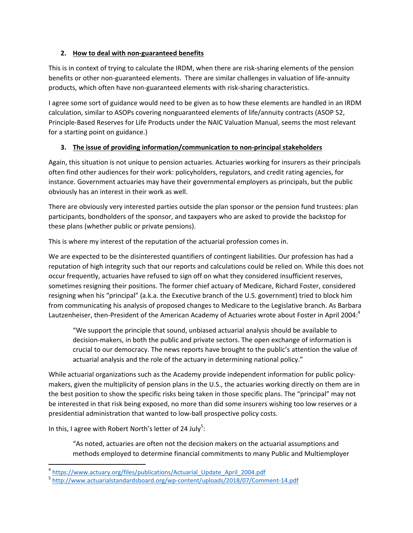## **2. How to deal with non‐guaranteed benefits**

This is in context of trying to calculate the IRDM, when there are risk‐sharing elements of the pension benefits or other non‐guaranteed elements. There are similar challenges in valuation of life‐annuity products, which often have non‐guaranteed elements with risk‐sharing characteristics.

I agree some sort of guidance would need to be given as to how these elements are handled in an IRDM calculation, similar to ASOPs covering nonguaranteed elements of life/annuity contracts (ASOP 52, Principle‐Based Reserves for Life Products under the NAIC Valuation Manual, seems the most relevant for a starting point on guidance.)

## **3. The issue of providing information/communication to non‐principal stakeholders**

Again, this situation is not unique to pension actuaries. Actuaries working for insurers as their principals often find other audiences for their work: policyholders, regulators, and credit rating agencies, for instance. Government actuaries may have their governmental employers as principals, but the public obviously has an interest in their work as well.

There are obviously very interested parties outside the plan sponsor or the pension fund trustees: plan participants, bondholders of the sponsor, and taxpayers who are asked to provide the backstop for these plans (whether public or private pensions).

This is where my interest of the reputation of the actuarial profession comes in.

We are expected to be the disinterested quantifiers of contingent liabilities. Our profession has had a reputation of high integrity such that our reports and calculations could be relied on. While this does not occur frequently, actuaries have refused to sign off on what they considered insufficient reserves, sometimes resigning their positions. The former chief actuary of Medicare, Richard Foster, considered resigning when his "principal" (a.k.a. the Executive branch of the U.S. government) tried to block him from communicating his analysis of proposed changes to Medicare to the Legislative branch. As Barbara Lautzenheiser, then-President of the American Academy of Actuaries wrote about Foster in April 2004:<sup>4</sup>

"We support the principle that sound, unbiased actuarial analysis should be available to decision‐makers, in both the public and private sectors. The open exchange of information is crucial to our democracy. The news reports have brought to the public's attention the value of actuarial analysis and the role of the actuary in determining national policy."

While actuarial organizations such as the Academy provide independent information for public policymakers, given the multiplicity of pension plans in the U.S., the actuaries working directly on them are in the best position to show the specific risks being taken in those specific plans. The "principal" may not be interested in that risk being exposed, no more than did some insurers wishing too low reserves or a presidential administration that wanted to low‐ball prospective policy costs.

In this, I agree with Robert North's letter of 24 July<sup>5</sup>:

"As noted, actuaries are often not the decision makers on the actuarial assumptions and methods employed to determine financial commitments to many Public and Multiemployer

<sup>&</sup>lt;sup>4</sup> https://www.actuary.org/files/publications/Actuarial\_Update\_April\_2004.pdf<br><sup>5</sup> http://www.actuarialstandardsboard.org/wp-content/uploads/2018/07/Comment-14.pdf